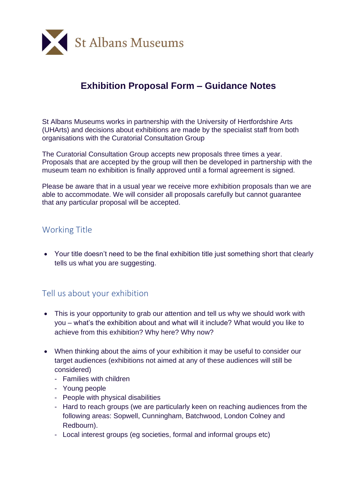

# **Exhibition Proposal Form – Guidance Notes**

St Albans Museums works in partnership with the University of Hertfordshire Arts (UHArts) and decisions about exhibitions are made by the specialist staff from both organisations with the Curatorial Consultation Group

The Curatorial Consultation Group accepts new proposals three times a year. Proposals that are accepted by the group will then be developed in partnership with the museum team no exhibition is finally approved until a formal agreement is signed.

Please be aware that in a usual year we receive more exhibition proposals than we are able to accommodate. We will consider all proposals carefully but cannot guarantee that any particular proposal will be accepted.

#### Working Title

• Your title doesn't need to be the final exhibition title just something short that clearly tells us what you are suggesting.

### Tell us about your exhibition

- This is your opportunity to grab our attention and tell us why we should work with you – what's the exhibition about and what will it include? What would you like to achieve from this exhibition? Why here? Why now?
- When thinking about the aims of your exhibition it may be useful to consider our target audiences (exhibitions not aimed at any of these audiences will still be considered)
	- Families with children
	- Young people
	- People with physical disabilities
	- Hard to reach groups (we are particularly keen on reaching audiences from the following areas: Sopwell, Cunningham, Batchwood, London Colney and Redbourn).
	- Local interest groups (eg societies, formal and informal groups etc)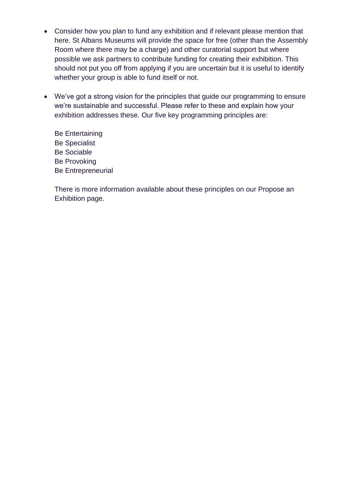- Consider how you plan to fund any exhibition and if relevant please mention that here. St Albans Museums will provide the space for free (other than the Assembly Room where there may be a charge) and other curatorial support but where possible we ask partners to contribute funding for creating their exhibition. This should not put you off from applying if you are uncertain but it is useful to identify whether your group is able to fund itself or not.
- We've got a strong vision for the principles that guide our programming to ensure we're sustainable and successful. Please refer to these and explain how your exhibition addresses these. Our five key programming principles are:
	- Be Entertaining Be Specialist Be Sociable Be Provoking Be Entrepreneurial

There is more information available about these principles on our Propose an Exhibition page.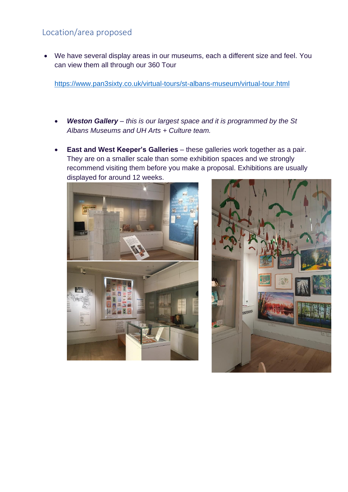## Location/area proposed

• We have several display areas in our museums, each a different size and feel. You can view them all through our 360 Tour

<https://www.pan3sixty.co.uk/virtual-tours/st-albans-museum/virtual-tour.html>

- *Weston Gallery – this is our largest space and it is programmed by the St Albans Museums and UH Arts + Culture team.*
- **East and West Keeper's Galleries** these galleries work together as a pair. They are on a smaller scale than some exhibition spaces and we strongly recommend visiting them before you make a proposal. Exhibitions are usually displayed for around 12 weeks.



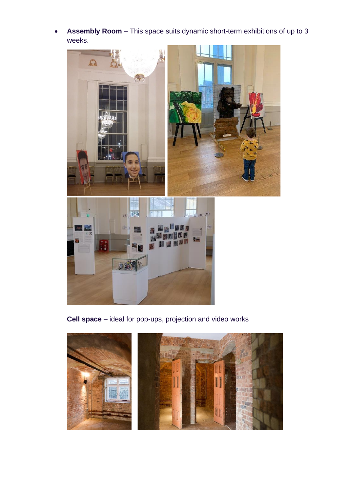• **Assembly Room** – This space suits dynamic short-term exhibitions of up to 3 weeks.



**Cell space** – ideal for pop-ups, projection and video works

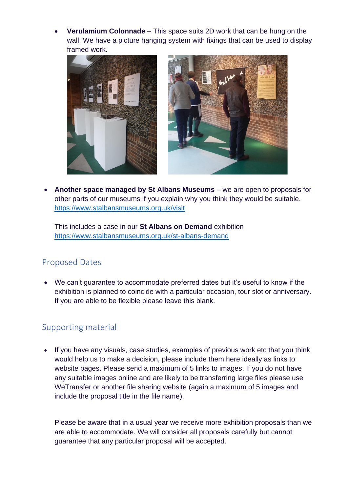• **Verulamium Colonnade** – This space suits 2D work that can be hung on the wall. We have a picture hanging system with fixings that can be used to display framed work.





• **Another space managed by St Albans Museums** – we are open to proposals for other parts of our museums if you explain why you think they would be suitable. <https://www.stalbansmuseums.org.uk/visit>

This includes a case in our **St Albans on Demand** exhibition <https://www.stalbansmuseums.org.uk/st-albans-demand>

 $\mathsf{I}$ 

### Proposed Dates

• We can't guarantee to accommodate preferred dates but it's useful to know if the exhibition is planned to coincide with a particular occasion, tour slot or anniversary. If you are able to be flexible please leave this blank.

### Supporting material

• If you have any visuals, case studies, examples of previous work etc that you think would help us to make a decision, please include them here ideally as links to website pages. Please send a maximum of 5 links to images. If you do not have any suitable images online and are likely to be transferring large files please use WeTransfer or another file sharing website (again a maximum of 5 images and include the proposal title in the file name).

Please be aware that in a usual year we receive more exhibition proposals than we are able to accommodate. We will consider all proposals carefully but cannot guarantee that any particular proposal will be accepted.